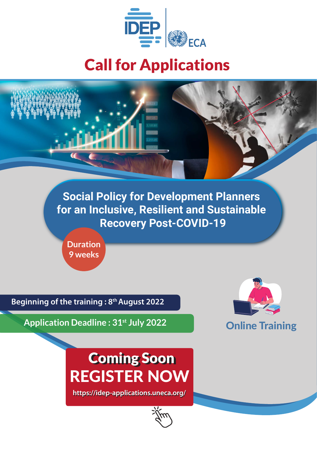

## Call for Applications



**Social Policy for Development Planners for an Inclusive, Resilient and Sustainable Recovery Post-COVID-19**

**Duration 9 weeks**

**Beginning of the training : 8th August 2022**

**Application Deadline : 31st July 2022**



# REGISTER NOW Coming Soon

**https://idep-applications.uneca.org/** 

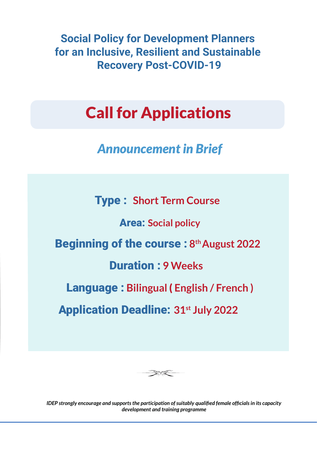**Social Policy for Development Planners for an Inclusive, Resilient and Sustainable Recovery Post-COVID-19**

## Call for Applications

## *Announcement in Brief*

Type : **Short Term Course** 

Area: **Social policy**

Beginning of the course : **8 th August 2022**

#### Duration : **9 Weeks**

Language : **Bilingual** ( **English / French )**

Application Deadline: **31st July 2022**



*IDEP strongly encourage and supports the participation of suitably qualified female officials in its capacity development and training programme*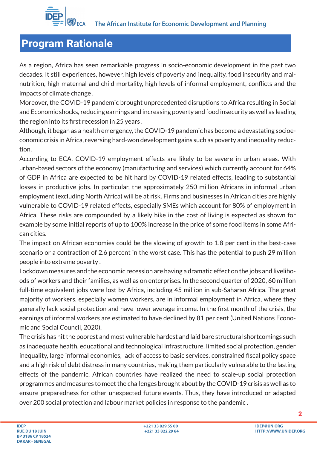

As a region, Africa has seen remarkable progress in socio-economic development in the past two decades. It still experiences, however, high levels of poverty and inequality, food insecurity and malnutrition, high maternal and child mortality, high levels of informal employment, conflicts and the impacts of climate change .

Moreover, the COVID-19 pandemic brought unprecedented disruptions to Africa resulting in Social and Economic shocks, reducing earnings and increasing poverty and food insecurity as well as leading the region into its first recession in 25 years .

Although, it began as a health emergency, the COVID-19 pandemic has become a devastating socioeconomic crisis in Africa, reversing hard-won development gains such as poverty and inequality reduction.

According to ECA, COVID-19 employment effects are likely to be severe in urban areas. With urban-based sectors of the economy (manufacturing and services) which currently account for 64% of GDP in Africa are expected to be hit hard by COVID-19 related effects, leading to substantial losses in productive jobs. In particular, the approximately 250 million Africans in informal urban employment (excluding North Africa) will be at risk. Firms and businesses in African cities are highly vulnerable to COVID-19 related effects, especially SMEs which account for 80% of employment in Africa. These risks are compounded by a likely hike in the cost of living is expected as shown for example by some initial reports of up to 100% increase in the price of some food items in some African cities.

The impact on African economies could be the slowing of growth to 1.8 per cent in the best-case scenario or a contraction of 2.6 percent in the worst case. This has the potential to push 29 million people into extreme poverty .

Lockdown measures and the economic recession are having a dramatic effect on the jobs and livelihoods of workers and their families, as well as on enterprises. In the second quarter of 2020, 60 million full-time equivalent jobs were lost by Africa, including 45 million in sub-Saharan Africa. The great majority of workers, especially women workers, are in informal employment in Africa, where they generally lack social protection and have lower average income. In the first month of the crisis, the earnings of informal workers are estimated to have declined by 81 per cent (United Nations Economic and Social Council, 2020).

The crisis has hit the poorest and most vulnerable hardest and laid bare structural shortcomings such as inadequate health, educational and technological infrastructure, limited social protection, gender inequality, large informal economies, lack of access to basic services, constrained fiscal policy space and a high risk of debt distress in many countries, making them particularly vulnerable to the lasting effects of the pandemic. African countries have realized the need to scale-up social protection programmes and measures to meet the challenges brought about by the COVID-19 crisis as well as to ensure preparedness for other unexpected future events. Thus, they have introduced or adapted over 200 social protection and labour market policies in response to the pandemic .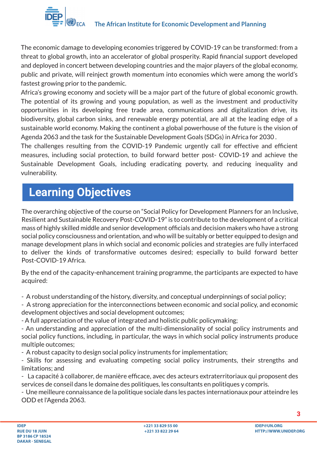The economic damage to developing economies triggered by COVID-19 can be transformed: from a threat to global growth, into an accelerator of global prosperity. Rapid financial support developed and deployed in concert between developing countries and the major players of the global economy, public and private, will reinject growth momentum into economies which were among the world's fastest growing prior to the pandemic.

Africa's growing economy and society will be a major part of the future of global economic growth. The potential of its growing and young population, as well as the investment and productivity opportunities in its developing free trade area, communications and digitalization drive, its biodiversity, global carbon sinks, and renewable energy potential, are all at the leading edge of a sustainable world economy. Making the continent a global powerhouse of the future is the vision of Agenda 2063 and the task for the Sustainable Development Goals (SDGs) in Africa for 2030 .

The challenges resulting from the COVID-19 Pandemic urgently call for effective and efficient measures, including social protection, to build forward better post- COVID-19 and achieve the Sustainable Development Goals, including eradicating poverty, and reducing inequality and vulnerability.

## **Learning Objectives**

The overarching objective of the course on "Social Policy for Development Planners for an Inclusive, Resilient and Sustainable Recovery Post-COVID-19" is to contribute to the development of a critical mass of highly skilled middle and senior development officials and decision makers who have a strong social policy consciousness and orientation, and who will be suitably or better equipped to design and manage development plans in which social and economic policies and strategies are fully interfaced to deliver the kinds of transformative outcomes desired; especially to build forward better Post-COVID-19 Africa.

By the end of the capacity-enhancement training programme, the participants are expected to have acquired:

- A robust understanding of the history, diversity, and conceptual underpinnings of social policy;
- A strong appreciation for the interconnections between economic and social policy, and economic development objectives and social development outcomes;
- A full appreciation of the value of integrated and holistic public policymaking;
- An understanding and appreciation of the multi-dimensionality of social policy instruments and social policy functions, including, in particular, the ways in which social policy instruments produce multiple outcomes;
- A robust capacity to design social policy instruments for implementation;
- Skills for assessing and evaluating competing social policy instruments, their strengths and limitations; and
- La capacité à collaborer, de manière efficace, avec des acteurs extraterritoriaux qui proposent des services de conseil dans le domaine des politiques, les consultants en politiques y compris.
- Une meilleure connaissance de la politique sociale dans les pactes internationaux pour atteindre les ODD et l'Agenda 2063.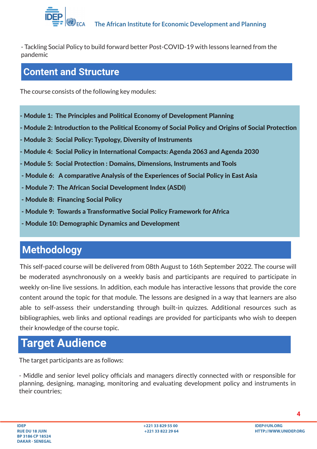

- Tackling Social Policy to build forward better Post-COVID-19 with lessons learned from the pandemic

#### **Content and Structure**

The course consists of the following key modules:

- Module 1: The Principles and Political Economy of Development Planning
- Module 2: Introduction to the Political Economy of Social Policy and Origins of Social Protection
- Module 3: Social Policy: Typology, Diversity of Instruments
- Module 4: Social Policy in International Compacts: Agenda 2063 and Agenda 2030
- Module 5: Social Protecion : Domains, Dimensions, Instruments and Tools
- Module 6: A comparative Analysis of the Experiences of Social Policy in East Asia
- Module 7: The African Social Development Index (ASDI)
- Module 8: Financing Social Policy
- Module 9: Towards a Transformative Social Policy Framework for Africa
- Module 10: Demographic Dynamics and Development

### **Methodology**

This self-paced course will be delivered from 08th August to 16th September 2022. The course will be moderated asynchronously on a weekly basis and participants are required to participate in weekly on-line live sessions. In addition, each module has interactive lessons that provide the core content around the topic for that module. The lessons are designed in a way that learners are also able to self-assess their understanding through built-in quizzes. Additional resources such as bibliographies, web links and optional readings are provided for participants who wish to deepen their knowledge of the course topic.

## **Target Audience**

The target participants are as follows:

- Middle and senior level policy officials and managers directly connected with or responsible for planning, designing, managing, monitoring and evaluating development policy and instruments in their countries;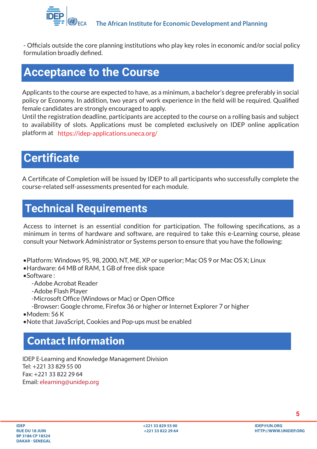

- Officials outside the core planning institutions who play key roles in economic and/or social policy formulation broadly defined.

#### **Acceptance to the Course**

Applicants to the course are expected to have, as a minimum, a bachelor's degree preferably in social policy or Economy. In addition, two years of work experience in the field will be required. Qualified female candidates are strongly encouraged to apply.

Until the registration deadline, participants are accepted to the course on a rolling basis and subject to availability of slots. Applications must be completed exclusively on IDEP online application platform at https://idep-applications.uneca.org/

### **Certificate**

A Certificate of Completion will be issued by IDEP to all participants who successfully complete the course-related self-assessments presented for each module.

## **Technical Requirements**

Access to internet is an essential condition for participation. The following specifications, as a minimum in terms of hardware and software, are required to take this e-Learning course, please consult your Network Administrator or Systems person to ensure that you have the following:

- •Platform: Windows 95, 98, 2000, NT, ME, XP or superior; Mac OS 9 or Mac OS X; Linux
- Hardware: 64 MB of RAM, 1 GB of free disk space
- $\bullet$ Software  $\cdot$ 
	- Adobe Acrobat Reader
	- Adobe Flash Player
	- -Microsoft Office (Windows or Mac) or Open Office
	- -Browser: Google chrome, Firefox 36 or higher or Internet Explorer 7 or higher
- •Modem: 56 K
- Note that JavaScript, Cookies and Pop-ups must be enabled

### Contact Information

IDEP E-Learning and Knowledge Management Division Tel: +221 33 829 55 00 Fax: +221 33 822 29 64 Email: elearning@unidep.org